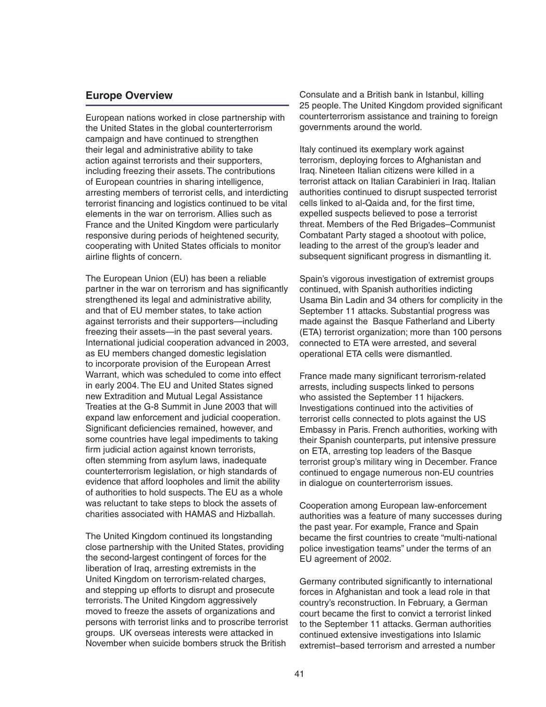#### **Europe Overview**

European nations worked in close partnership with the United States in the global counterterrorism campaign and have continued to strengthen their legal and administrative ability to take action against terrorists and their supporters, including freezing their assets. The contributions of European countries in sharing intelligence, arresting members of terrorist cells, and interdicting terrorist financing and logistics continued to be vital elements in the war on terrorism. Allies such as France and the United Kingdom were particularly responsive during periods of heightened security, cooperating with United States officials to monitor airline flights of concern.

The European Union (EU) has been a reliable partner in the war on terrorism and has significantly strengthened its legal and administrative ability, and that of EU member states, to take action against terrorists and their supporters—including freezing their assets—in the past several years. International judicial cooperation advanced in 2003, as EU members changed domestic legislation to incorporate provision of the European Arrest Warrant, which was scheduled to come into effect in early 2004. The EU and United States signed new Extradition and Mutual Legal Assistance Treaties at the G-8 Summit in June 2003 that will expand law enforcement and judicial cooperation. Significant deficiencies remained, however, and some countries have legal impediments to taking firm judicial action against known terrorists, often stemming from asylum laws, inadequate counterterrorism legislation, or high standards of evidence that afford loopholes and limit the ability of authorities to hold suspects. The EU as a whole was reluctant to take steps to block the assets of charities associated with HAMAS and Hizballah.

The United Kingdom continued its longstanding close partnership with the United States, providing the second-largest contingent of forces for the liberation of Iraq, arresting extremists in the United Kingdom on terrorism-related charges, and stepping up efforts to disrupt and prosecute terrorists. The United Kingdom aggressively moved to freeze the assets of organizations and persons with terrorist links and to proscribe terrorist groups. UK overseas interests were attacked in November when suicide bombers struck the British

Consulate and a British bank in Istanbul, killing 25 people. The United Kingdom provided significant counterterrorism assistance and training to foreign governments around the world.

Italy continued its exemplary work against terrorism, deploying forces to Afghanistan and Iraq. Nineteen Italian citizens were killed in a terrorist attack on Italian Carabinieri in Iraq. Italian authorities continued to disrupt suspected terrorist cells linked to al-Qaida and, for the first time, expelled suspects believed to pose a terrorist threat. Members of the Red Brigades–Communist Combatant Party staged a shootout with police, leading to the arrest of the group's leader and subsequent significant progress in dismantling it.

Spain's vigorous investigation of extremist groups continued, with Spanish authorities indicting Usama Bin Ladin and 34 others for complicity in the September 11 attacks. Substantial progress was made against the Basque Fatherland and Liberty (ETA) terrorist organization; more than 100 persons connected to ETA were arrested, and several operational ETA cells were dismantled.

France made many significant terrorism-related arrests, including suspects linked to persons who assisted the September 11 hijackers. Investigations continued into the activities of terrorist cells connected to plots against the US Embassy in Paris. French authorities, working with their Spanish counterparts, put intensive pressure on ETA, arresting top leaders of the Basque terrorist group's military wing in December. France continued to engage numerous non-EU countries in dialogue on counterterrorism issues.

Cooperation among European law-enforcement authorities was a feature of many successes during the past year. For example, France and Spain became the first countries to create "multi-national police investigation teams" under the terms of an EU agreement of 2002.

Germany contributed significantly to international forces in Afghanistan and took a lead role in that country's reconstruction. In February, a German court became the first to convict a terrorist linked to the September 11 attacks. German authorities continued extensive investigations into Islamic extremist–based terrorism and arrested a number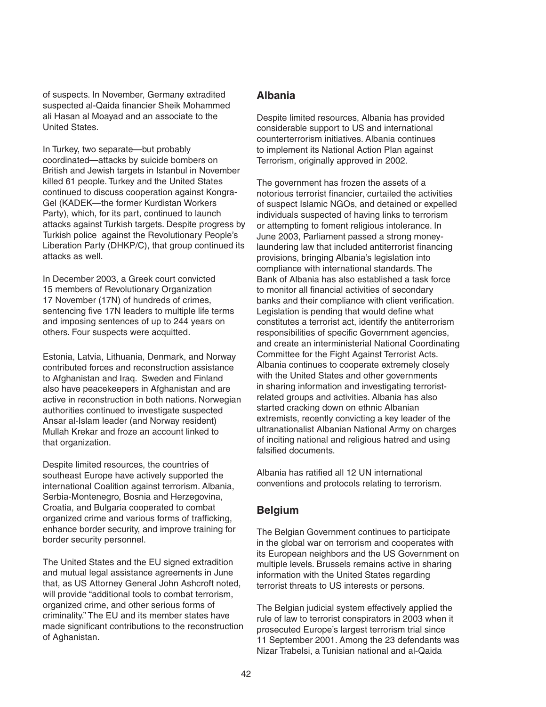of suspects. In November, Germany extradited suspected al-Qaida financier Sheik Mohammed ali Hasan al Moayad and an associate to the United States.

In Turkey, two separate—but probably coordinated—attacks by suicide bombers on British and Jewish targets in Istanbul in November killed 61 people. Turkey and the United States continued to discuss cooperation against Kongra-Gel (KADEK—the former Kurdistan Workers Party), which, for its part, continued to launch attacks against Turkish targets. Despite progress by Turkish police against the Revolutionary People's Liberation Party (DHKP/C), that group continued its attacks as well.

In December 2003, a Greek court convicted 15 members of Revolutionary Organization 17 November (17N) of hundreds of crimes, sentencing five 17N leaders to multiple life terms and imposing sentences of up to 244 years on others. Four suspects were acquitted.

Estonia, Latvia, Lithuania, Denmark, and Norway contributed forces and reconstruction assistance to Afghanistan and Iraq. Sweden and Finland also have peacekeepers in Afghanistan and are active in reconstruction in both nations. Norwegian authorities continued to investigate suspected Ansar al-Islam leader (and Norway resident) Mullah Krekar and froze an account linked to that organization.

Despite limited resources, the countries of southeast Europe have actively supported the international Coalition against terrorism. Albania, Serbia-Montenegro, Bosnia and Herzegovina, Croatia, and Bulgaria cooperated to combat organized crime and various forms of trafficking, enhance border security, and improve training for border security personnel.

The United States and the EU signed extradition and mutual legal assistance agreements in June that, as US Attorney General John Ashcroft noted, will provide "additional tools to combat terrorism, organized crime, and other serious forms of criminality." The EU and its member states have made significant contributions to the reconstruction of Aghanistan.

#### **Albania**

Despite limited resources, Albania has provided considerable support to US and international counterterrorism initiatives. Albania continues to implement its National Action Plan against Terrorism, originally approved in 2002.

The government has frozen the assets of a notorious terrorist financier, curtailed the activities of suspect Islamic NGOs, and detained or expelled individuals suspected of having links to terrorism or attempting to foment religious intolerance. In June 2003, Parliament passed a strong moneylaundering law that included antiterrorist financing provisions, bringing Albania's legislation into compliance with international standards. The Bank of Albania has also established a task force to monitor all financial activities of secondary banks and their compliance with client verification. Legislation is pending that would define what constitutes a terrorist act, identify the antiterrorism responsibilities of specific Government agencies, and create an interministerial National Coordinating Committee for the Fight Against Terrorist Acts. Albania continues to cooperate extremely closely with the United States and other governments in sharing information and investigating terroristrelated groups and activities. Albania has also started cracking down on ethnic Albanian extremists, recently convicting a key leader of the ultranationalist Albanian National Army on charges of inciting national and religious hatred and using falsified documents.

Albania has ratified all 12 UN international conventions and protocols relating to terrorism.

#### **Belgium**

The Belgian Government continues to participate in the global war on terrorism and cooperates with its European neighbors and the US Government on multiple levels. Brussels remains active in sharing information with the United States regarding terrorist threats to US interests or persons.

The Belgian judicial system effectively applied the rule of law to terrorist conspirators in 2003 when it prosecuted Europe's largest terrorism trial since 11 September 2001. Among the 23 defendants was Nizar Trabelsi, a Tunisian national and al-Qaida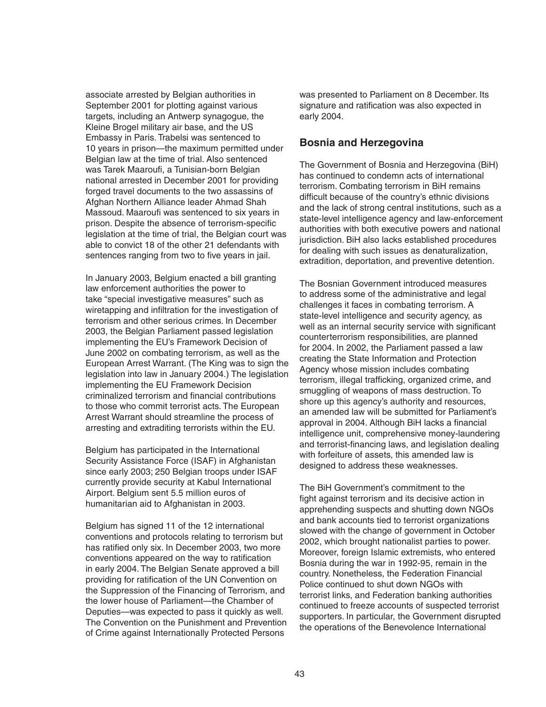associate arrested by Belgian authorities in September 2001 for plotting against various targets, including an Antwerp synagogue, the Kleine Brogel military air base, and the US Embassy in Paris. Trabelsi was sentenced to 10 years in prison—the maximum permitted under Belgian law at the time of trial. Also sentenced was Tarek Maaroufi, a Tunisian-born Belgian national arrested in December 2001 for providing forged travel documents to the two assassins of Afghan Northern Alliance leader Ahmad Shah Massoud. Maaroufi was sentenced to six years in prison. Despite the absence of terrorism-specific legislation at the time of trial, the Belgian court was able to convict 18 of the other 21 defendants with sentences ranging from two to five years in jail.

In January 2003, Belgium enacted a bill granting law enforcement authorities the power to take "special investigative measures" such as wiretapping and infiltration for the investigation of terrorism and other serious crimes. In December 2003, the Belgian Parliament passed legislation implementing the EU's Framework Decision of June 2002 on combating terrorism, as well as the European Arrest Warrant. (The King was to sign the legislation into law in January 2004.) The legislation implementing the EU Framework Decision criminalized terrorism and financial contributions to those who commit terrorist acts. The European Arrest Warrant should streamline the process of arresting and extraditing terrorists within the EU.

Belgium has participated in the International Security Assistance Force (ISAF) in Afghanistan since early 2003; 250 Belgian troops under ISAF currently provide security at Kabul International Airport. Belgium sent 5.5 million euros of humanitarian aid to Afghanistan in 2003.

Belgium has signed 11 of the 12 international conventions and protocols relating to terrorism but has ratified only six. In December 2003, two more conventions appeared on the way to ratification in early 2004. The Belgian Senate approved a bill providing for ratification of the UN Convention on the Suppression of the Financing of Terrorism, and the lower house of Parliament—the Chamber of Deputies—was expected to pass it quickly as well. The Convention on the Punishment and Prevention of Crime against Internationally Protected Persons

was presented to Parliament on 8 December. Its signature and ratification was also expected in early 2004.

#### **Bosnia and Herzegovina**

The Government of Bosnia and Herzegovina (BiH) has continued to condemn acts of international terrorism. Combating terrorism in BiH remains difficult because of the country's ethnic divisions and the lack of strong central institutions, such as a state-level intelligence agency and law-enforcement authorities with both executive powers and national jurisdiction. BiH also lacks established procedures for dealing with such issues as denaturalization, extradition, deportation, and preventive detention.

The Bosnian Government introduced measures to address some of the administrative and legal challenges it faces in combating terrorism. A state-level intelligence and security agency, as well as an internal security service with significant counterterrorism responsibilities, are planned for 2004. In 2002, the Parliament passed a law creating the State Information and Protection Agency whose mission includes combating terrorism, illegal trafficking, organized crime, and smuggling of weapons of mass destruction. To shore up this agency's authority and resources, an amended law will be submitted for Parliament's approval in 2004. Although BiH lacks a financial intelligence unit, comprehensive money-laundering and terrorist-financing laws, and legislation dealing with forfeiture of assets, this amended law is designed to address these weaknesses.

The BiH Government's commitment to the fight against terrorism and its decisive action in apprehending suspects and shutting down NGOs and bank accounts tied to terrorist organizations slowed with the change of government in October 2002, which brought nationalist parties to power. Moreover, foreign Islamic extremists, who entered Bosnia during the war in 1992-95, remain in the country. Nonetheless, the Federation Financial Police continued to shut down NGOs with terrorist links, and Federation banking authorities continued to freeze accounts of suspected terrorist supporters. In particular, the Government disrupted the operations of the Benevolence International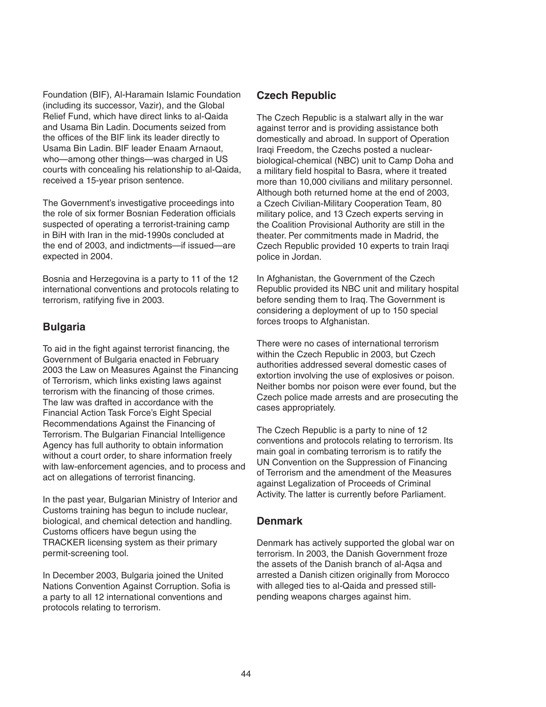Foundation (BIF), Al-Haramain Islamic Foundation (including its successor, Vazir), and the Global Relief Fund, which have direct links to al-Qaida and Usama Bin Ladin. Documents seized from the offices of the BIF link its leader directly to Usama Bin Ladin. BIF leader Enaam Arnaout, who—among other things—was charged in US courts with concealing his relationship to al-Qaida, received a 15-year prison sentence.

The Government's investigative proceedings into the role of six former Bosnian Federation officials suspected of operating a terrorist-training camp in BiH with Iran in the mid-1990s concluded at the end of 2003, and indictments—if issued—are expected in 2004.

Bosnia and Herzegovina is a party to 11 of the 12 international conventions and protocols relating to terrorism, ratifying five in 2003.

## **Bulgaria**

To aid in the fight against terrorist financing, the Government of Bulgaria enacted in February 2003 the Law on Measures Against the Financing of Terrorism, which links existing laws against terrorism with the financing of those crimes. The law was drafted in accordance with the Financial Action Task Force's Eight Special Recommendations Against the Financing of Terrorism. The Bulgarian Financial Intelligence Agency has full authority to obtain information without a court order, to share information freely with law-enforcement agencies, and to process and act on allegations of terrorist financing.

In the past year, Bulgarian Ministry of Interior and Customs training has begun to include nuclear, biological, and chemical detection and handling. Customs officers have begun using the TRACKER licensing system as their primary permit-screening tool.

In December 2003, Bulgaria joined the United Nations Convention Against Corruption. Sofia is a party to all 12 international conventions and protocols relating to terrorism.

## **Czech Republic**

The Czech Republic is a stalwart ally in the war against terror and is providing assistance both domestically and abroad. In support of Operation Iraqi Freedom, the Czechs posted a nuclearbiological-chemical (NBC) unit to Camp Doha and a military field hospital to Basra, where it treated more than 10,000 civilians and military personnel. Although both returned home at the end of 2003, a Czech Civilian-Military Cooperation Team, 80 military police, and 13 Czech experts serving in the Coalition Provisional Authority are still in the theater. Per commitments made in Madrid, the Czech Republic provided 10 experts to train Iraqi police in Jordan.

In Afghanistan, the Government of the Czech Republic provided its NBC unit and military hospital before sending them to Iraq. The Government is considering a deployment of up to 150 special forces troops to Afghanistan.

There were no cases of international terrorism within the Czech Republic in 2003, but Czech authorities addressed several domestic cases of extortion involving the use of explosives or poison. Neither bombs nor poison were ever found, but the Czech police made arrests and are prosecuting the cases appropriately.

The Czech Republic is a party to nine of 12 conventions and protocols relating to terrorism. Its main goal in combating terrorism is to ratify the UN Convention on the Suppression of Financing of Terrorism and the amendment of the Measures against Legalization of Proceeds of Criminal Activity. The latter is currently before Parliament.

### **Denmark**

Denmark has actively supported the global war on terrorism. In 2003, the Danish Government froze the assets of the Danish branch of al-Aqsa and arrested a Danish citizen originally from Morocco with alleged ties to al-Qaida and pressed stillpending weapons charges against him.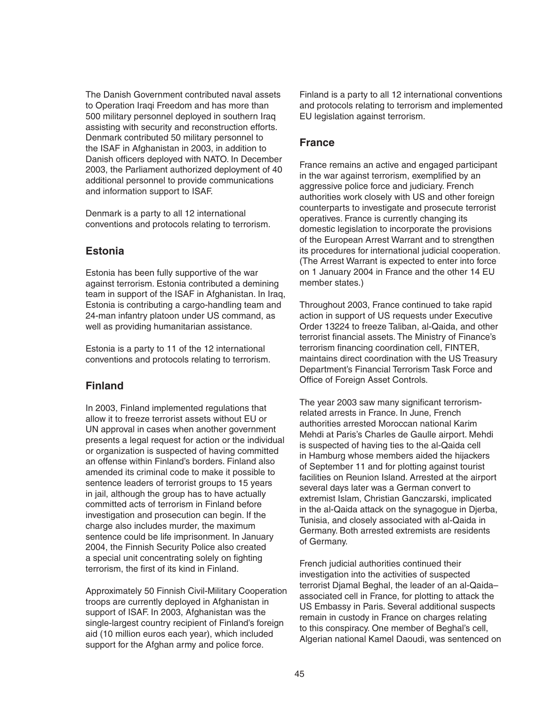The Danish Government contributed naval assets to Operation Iraqi Freedom and has more than 500 military personnel deployed in southern Iraq assisting with security and reconstruction efforts. Denmark contributed 50 military personnel to the ISAF in Afghanistan in 2003, in addition to Danish officers deployed with NATO. In December 2003, the Parliament authorized deployment of 40 additional personnel to provide communications and information support to ISAF.

Denmark is a party to all 12 international conventions and protocols relating to terrorism.

# **Estonia**

Estonia has been fully supportive of the war against terrorism. Estonia contributed a demining team in support of the ISAF in Afghanistan. In Iraq, Estonia is contributing a cargo-handling team and 24-man infantry platoon under US command, as well as providing humanitarian assistance.

Estonia is a party to 11 of the 12 international conventions and protocols relating to terrorism.

### **Finland**

In 2003, Finland implemented regulations that allow it to freeze terrorist assets without EU or UN approval in cases when another government presents a legal request for action or the individual or organization is suspected of having committed an offense within Finland's borders. Finland also amended its criminal code to make it possible to sentence leaders of terrorist groups to 15 years in jail, although the group has to have actually committed acts of terrorism in Finland before investigation and prosecution can begin. If the charge also includes murder, the maximum sentence could be life imprisonment. In January 2004, the Finnish Security Police also created a special unit concentrating solely on fighting terrorism, the first of its kind in Finland.

Approximately 50 Finnish Civil-Military Cooperation troops are currently deployed in Afghanistan in support of ISAF. In 2003, Afghanistan was the single-largest country recipient of Finland's foreign aid (10 million euros each year), which included support for the Afghan army and police force.

Finland is a party to all 12 international conventions and protocols relating to terrorism and implemented EU legislation against terrorism.

### **France**

France remains an active and engaged participant in the war against terrorism, exemplified by an aggressive police force and judiciary. French authorities work closely with US and other foreign counterparts to investigate and prosecute terrorist operatives. France is currently changing its domestic legislation to incorporate the provisions of the European Arrest Warrant and to strengthen its procedures for international judicial cooperation. (The Arrest Warrant is expected to enter into force on 1 January 2004 in France and the other 14 EU member states.)

Throughout 2003, France continued to take rapid action in support of US requests under Executive Order 13224 to freeze Taliban, al-Qaida, and other terrorist financial assets. The Ministry of Finance's terrorism financing coordination cell, FINTER, maintains direct coordination with the US Treasury Department's Financial Terrorism Task Force and Office of Foreign Asset Controls.

The year 2003 saw many significant terrorismrelated arrests in France. In June, French authorities arrested Moroccan national Karim Mehdi at Paris's Charles de Gaulle airport. Mehdi is suspected of having ties to the al-Qaida cell in Hamburg whose members aided the hijackers of September 11 and for plotting against tourist facilities on Reunion Island. Arrested at the airport several days later was a German convert to extremist Islam, Christian Ganczarski, implicated in the al-Qaida attack on the synagogue in Djerba, Tunisia, and closely associated with al-Qaida in Germany. Both arrested extremists are residents of Germany.

French judicial authorities continued their investigation into the activities of suspected terrorist Djamal Beghal, the leader of an al-Qaida– associated cell in France, for plotting to attack the US Embassy in Paris. Several additional suspects remain in custody in France on charges relating to this conspiracy. One member of Beghal's cell, Algerian national Kamel Daoudi, was sentenced on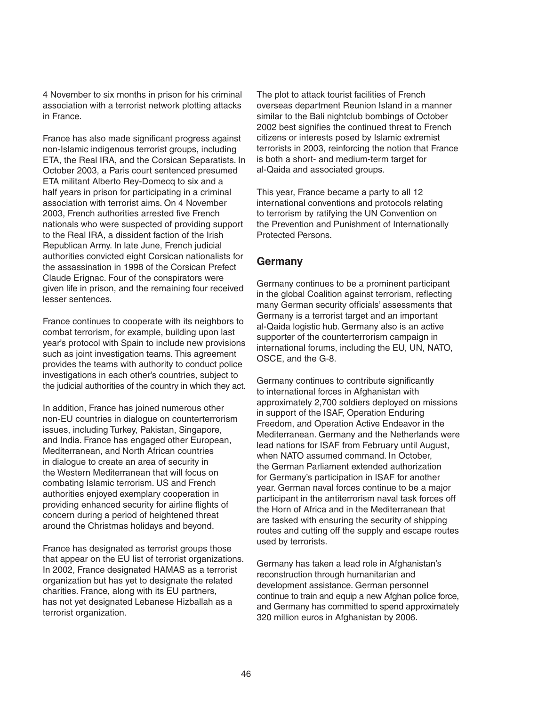4 November to six months in prison for his criminal association with a terrorist network plotting attacks in France.

France has also made significant progress against non-Islamic indigenous terrorist groups, including ETA, the Real IRA, and the Corsican Separatists. In October 2003, a Paris court sentenced presumed ETA militant Alberto Rey-Domecq to six and a half years in prison for participating in a criminal association with terrorist aims. On 4 November 2003, French authorities arrested five French nationals who were suspected of providing support to the Real IRA, a dissident faction of the Irish Republican Army. In late June, French judicial authorities convicted eight Corsican nationalists for the assassination in 1998 of the Corsican Prefect Claude Erignac. Four of the conspirators were given life in prison, and the remaining four received lesser sentences.

France continues to cooperate with its neighbors to combat terrorism, for example, building upon last year's protocol with Spain to include new provisions such as joint investigation teams. This agreement provides the teams with authority to conduct police investigations in each other's countries, subject to the judicial authorities of the country in which they act.

In addition, France has joined numerous other non-EU countries in dialogue on counterterrorism issues, including Turkey, Pakistan, Singapore, and India. France has engaged other European, Mediterranean, and North African countries in dialogue to create an area of security in the Western Mediterranean that will focus on combating Islamic terrorism. US and French authorities enjoyed exemplary cooperation in providing enhanced security for airline flights of concern during a period of heightened threat around the Christmas holidays and beyond.

France has designated as terrorist groups those that appear on the EU list of terrorist organizations. In 2002, France designated HAMAS as a terrorist organization but has yet to designate the related charities. France, along with its EU partners, has not yet designated Lebanese Hizballah as a terrorist organization.

The plot to attack tourist facilities of French overseas department Reunion Island in a manner similar to the Bali nightclub bombings of October 2002 best signifies the continued threat to French citizens or interests posed by Islamic extremist terrorists in 2003, reinforcing the notion that France is both a short- and medium-term target for al-Qaida and associated groups.

This year, France became a party to all 12 international conventions and protocols relating to terrorism by ratifying the UN Convention on the Prevention and Punishment of Internationally Protected Persons.

#### **Germany**

Germany continues to be a prominent participant in the global Coalition against terrorism, reflecting many German security officials' assessments that Germany is a terrorist target and an important al-Qaida logistic hub. Germany also is an active supporter of the counterterrorism campaign in international forums, including the EU, UN, NATO, OSCE, and the G-8.

Germany continues to contribute significantly to international forces in Afghanistan with approximately 2,700 soldiers deployed on missions in support of the ISAF, Operation Enduring Freedom, and Operation Active Endeavor in the Mediterranean. Germany and the Netherlands were lead nations for ISAF from February until August, when NATO assumed command. In October, the German Parliament extended authorization for Germany's participation in ISAF for another year. German naval forces continue to be a major participant in the antiterrorism naval task forces off the Horn of Africa and in the Mediterranean that are tasked with ensuring the security of shipping routes and cutting off the supply and escape routes used by terrorists.

Germany has taken a lead role in Afghanistan's reconstruction through humanitarian and development assistance. German personnel continue to train and equip a new Afghan police force, and Germany has committed to spend approximately 320 million euros in Afghanistan by 2006.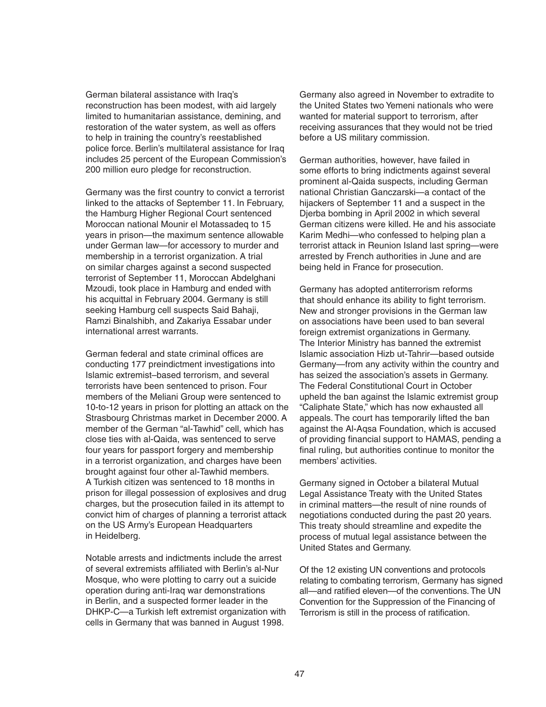German bilateral assistance with Iraq's reconstruction has been modest, with aid largely limited to humanitarian assistance, demining, and restoration of the water system, as well as offers to help in training the country's reestablished police force. Berlin's multilateral assistance for Iraq includes 25 percent of the European Commission's 200 million euro pledge for reconstruction.

Germany was the first country to convict a terrorist linked to the attacks of September 11. In February, the Hamburg Higher Regional Court sentenced Moroccan national Mounir el Motassadeq to 15 years in prison—the maximum sentence allowable under German law—for accessory to murder and membership in a terrorist organization. A trial on similar charges against a second suspected terrorist of September 11, Moroccan Abdelghani Mzoudi, took place in Hamburg and ended with his acquittal in February 2004. Germany is still seeking Hamburg cell suspects Said Bahaji, Ramzi Binalshibh, and Zakariya Essabar under international arrest warrants.

German federal and state criminal offices are conducting 177 preindictment investigations into Islamic extremist–based terrorism, and several terrorists have been sentenced to prison. Four members of the Meliani Group were sentenced to 10-to-12 years in prison for plotting an attack on the Strasbourg Christmas market in December 2000. A member of the German "al-Tawhid" cell, which has close ties with al-Qaida, was sentenced to serve four years for passport forgery and membership in a terrorist organization, and charges have been brought against four other al-Tawhid members. A Turkish citizen was sentenced to 18 months in prison for illegal possession of explosives and drug charges, but the prosecution failed in its attempt to convict him of charges of planning a terrorist attack on the US Army's European Headquarters in Heidelberg.

Notable arrests and indictments include the arrest of several extremists affiliated with Berlin's al-Nur Mosque, who were plotting to carry out a suicide operation during anti-Iraq war demonstrations in Berlin, and a suspected former leader in the DHKP-C—a Turkish left extremist organization with cells in Germany that was banned in August 1998.

Germany also agreed in November to extradite to the United States two Yemeni nationals who were wanted for material support to terrorism, after receiving assurances that they would not be tried before a US military commission.

German authorities, however, have failed in some efforts to bring indictments against several prominent al-Qaida suspects, including German national Christian Ganczarski—a contact of the hijackers of September 11 and a suspect in the Djerba bombing in April 2002 in which several German citizens were killed. He and his associate Karim Medhi—who confessed to helping plan a terrorist attack in Reunion Island last spring—were arrested by French authorities in June and are being held in France for prosecution.

Germany has adopted antiterrorism reforms that should enhance its ability to fight terrorism. New and stronger provisions in the German law on associations have been used to ban several foreign extremist organizations in Germany. The Interior Ministry has banned the extremist Islamic association Hizb ut-Tahrir—based outside Germany—from any activity within the country and has seized the association's assets in Germany. The Federal Constitutional Court in October upheld the ban against the Islamic extremist group "Caliphate State," which has now exhausted all appeals. The court has temporarily lifted the ban against the Al-Aqsa Foundation, which is accused of providing financial support to HAMAS, pending a final ruling, but authorities continue to monitor the members' activities.

Germany signed in October a bilateral Mutual Legal Assistance Treaty with the United States in criminal matters—the result of nine rounds of negotiations conducted during the past 20 years. This treaty should streamline and expedite the process of mutual legal assistance between the United States and Germany.

Of the 12 existing UN conventions and protocols relating to combating terrorism, Germany has signed all—and ratified eleven—of the conventions. The UN Convention for the Suppression of the Financing of Terrorism is still in the process of ratification.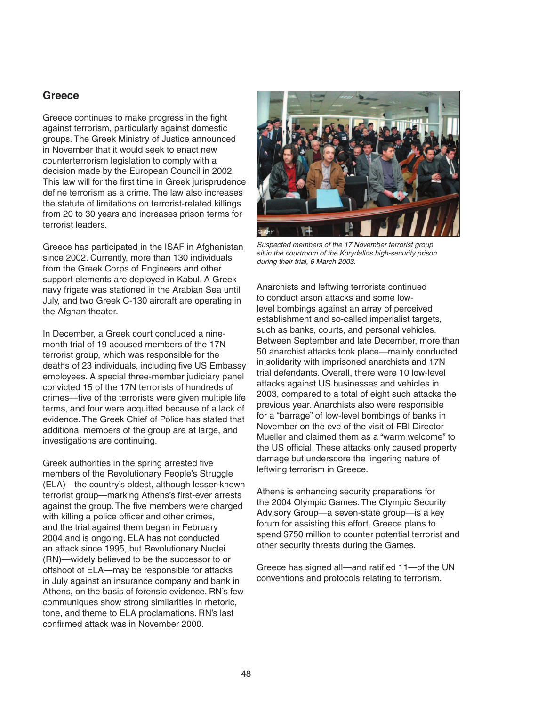#### **Greece**

Greece continues to make progress in the fight against terrorism, particularly against domestic groups. The Greek Ministry of Justice announced in November that it would seek to enact new counterterrorism legislation to comply with a decision made by the European Council in 2002. This law will for the first time in Greek jurisprudence define terrorism as a crime. The law also increases the statute of limitations on terrorist-related killings from 20 to 30 years and increases prison terms for terrorist leaders.

Greece has participated in the ISAF in Afghanistan since 2002. Currently, more than 130 individuals from the Greek Corps of Engineers and other support elements are deployed in Kabul. A Greek navy frigate was stationed in the Arabian Sea until July, and two Greek C-130 aircraft are operating in the Afghan theater.

In December, a Greek court concluded a ninemonth trial of 19 accused members of the 17N terrorist group, which was responsible for the deaths of 23 individuals, including five US Embassy employees. A special three-member judiciary panel convicted 15 of the 17N terrorists of hundreds of crimes—five of the terrorists were given multiple life terms, and four were acquitted because of a lack of evidence. The Greek Chief of Police has stated that additional members of the group are at large, and investigations are continuing.

Greek authorities in the spring arrested five members of the Revolutionary People's Struggle (ELA)—the country's oldest, although lesser-known terrorist group—marking Athens's first-ever arrests against the group. The five members were charged with killing a police officer and other crimes, and the trial against them began in February 2004 and is ongoing. ELA has not conducted an attack since 1995, but Revolutionary Nuclei (RN)—widely believed to be the successor to or offshoot of ELA—may be responsible for attacks in July against an insurance company and bank in Athens, on the basis of forensic evidence. RN's few communiques show strong similarities in rhetoric, tone, and theme to ELA proclamations. RN's last confirmed attack was in November 2000.



Suspected members of the 17 November terrorist group sit in the courtroom of the Korydallos high-security prison during their trial, 6 March 2003.

Anarchists and leftwing terrorists continued to conduct arson attacks and some lowlevel bombings against an array of perceived establishment and so-called imperialist targets, such as banks, courts, and personal vehicles. Between September and late December, more than 50 anarchist attacks took place—mainly conducted in solidarity with imprisoned anarchists and 17N trial defendants. Overall, there were 10 low-level attacks against US businesses and vehicles in 2003, compared to a total of eight such attacks the previous year. Anarchists also were responsible for a "barrage" of low-level bombings of banks in November on the eve of the visit of FBI Director Mueller and claimed them as a "warm welcome" to the US official. These attacks only caused property damage but underscore the lingering nature of leftwing terrorism in Greece.

Athens is enhancing security preparations for the 2004 Olympic Games. The Olympic Security Advisory Group—a seven-state group—is a key forum for assisting this effort. Greece plans to spend \$750 million to counter potential terrorist and other security threats during the Games.

Greece has signed all—and ratified 11—of the UN conventions and protocols relating to terrorism.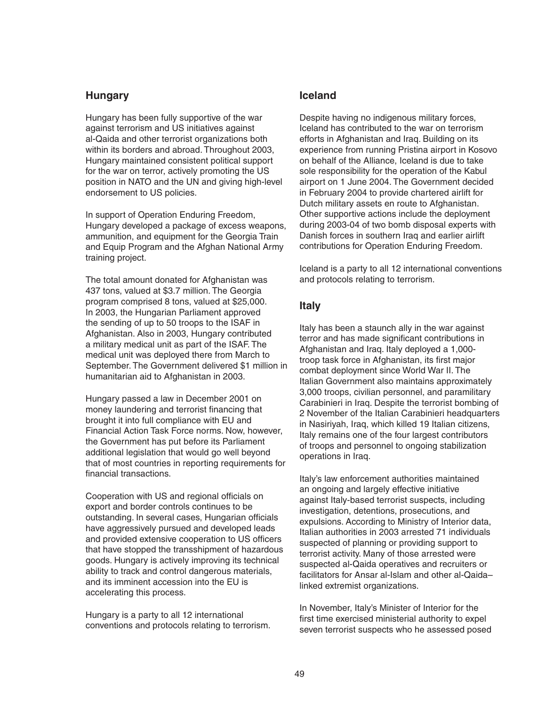#### **Hungary**

Hungary has been fully supportive of the war against terrorism and US initiatives against al-Qaida and other terrorist organizations both within its borders and abroad. Throughout 2003, Hungary maintained consistent political support for the war on terror, actively promoting the US position in NATO and the UN and giving high-level endorsement to US policies.

In support of Operation Enduring Freedom, Hungary developed a package of excess weapons, ammunition, and equipment for the Georgia Train and Equip Program and the Afghan National Army training project.

The total amount donated for Afghanistan was 437 tons, valued at \$3.7 million. The Georgia program comprised 8 tons, valued at \$25,000. In 2003, the Hungarian Parliament approved the sending of up to 50 troops to the ISAF in Afghanistan. Also in 2003, Hungary contributed a military medical unit as part of the ISAF. The medical unit was deployed there from March to September. The Government delivered \$1 million in humanitarian aid to Afghanistan in 2003.

Hungary passed a law in December 2001 on money laundering and terrorist financing that brought it into full compliance with EU and Financial Action Task Force norms. Now, however, the Government has put before its Parliament additional legislation that would go well beyond that of most countries in reporting requirements for financial transactions.

Cooperation with US and regional officials on export and border controls continues to be outstanding. In several cases, Hungarian officials have aggressively pursued and developed leads and provided extensive cooperation to US officers that have stopped the transshipment of hazardous goods. Hungary is actively improving its technical ability to track and control dangerous materials, and its imminent accession into the EU is accelerating this process.

Hungary is a party to all 12 international conventions and protocols relating to terrorism.

#### **Iceland**

Despite having no indigenous military forces, Iceland has contributed to the war on terrorism efforts in Afghanistan and Iraq. Building on its experience from running Pristina airport in Kosovo on behalf of the Alliance, Iceland is due to take sole responsibility for the operation of the Kabul airport on 1 June 2004. The Government decided in February 2004 to provide chartered airlift for Dutch military assets en route to Afghanistan. Other supportive actions include the deployment during 2003-04 of two bomb disposal experts with Danish forces in southern Iraq and earlier airlift contributions for Operation Enduring Freedom.

Iceland is a party to all 12 international conventions and protocols relating to terrorism.

### **Italy**

Italy has been a staunch ally in the war against terror and has made significant contributions in Afghanistan and Iraq. Italy deployed a 1,000 troop task force in Afghanistan, its first major combat deployment since World War II. The Italian Government also maintains approximately 3,000 troops, civilian personnel, and paramilitary Carabinieri in Iraq. Despite the terrorist bombing of 2 November of the Italian Carabinieri headquarters in Nasiriyah, Iraq, which killed 19 Italian citizens, Italy remains one of the four largest contributors of troops and personnel to ongoing stabilization operations in Iraq.

Italy's law enforcement authorities maintained an ongoing and largely effective initiative against Italy-based terrorist suspects, including investigation, detentions, prosecutions, and expulsions. According to Ministry of Interior data, Italian authorities in 2003 arrested 71 individuals suspected of planning or providing support to terrorist activity. Many of those arrested were suspected al-Qaida operatives and recruiters or facilitators for Ansar al-Islam and other al-Qaida– linked extremist organizations.

In November, Italy's Minister of Interior for the first time exercised ministerial authority to expel seven terrorist suspects who he assessed posed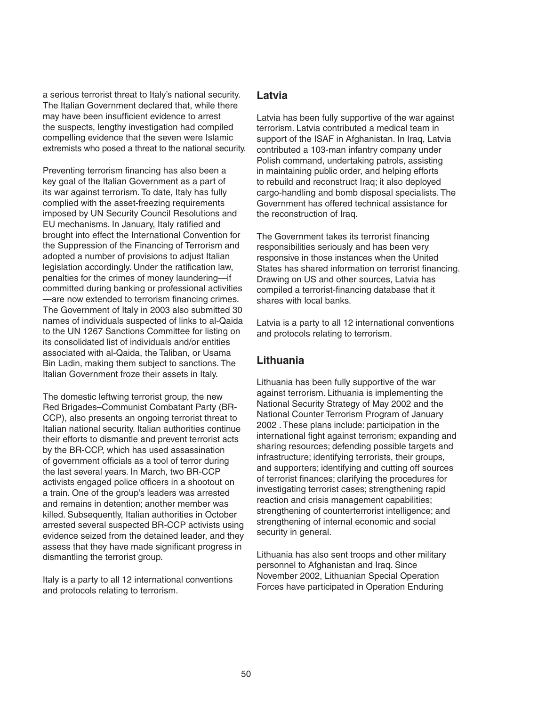a serious terrorist threat to Italy's national security. The Italian Government declared that, while there may have been insufficient evidence to arrest the suspects, lengthy investigation had compiled compelling evidence that the seven were Islamic extremists who posed a threat to the national security.

Preventing terrorism financing has also been a key goal of the Italian Government as a part of its war against terrorism. To date, Italy has fully complied with the asset-freezing requirements imposed by UN Security Council Resolutions and EU mechanisms. In January, Italy ratified and brought into effect the International Convention for the Suppression of the Financing of Terrorism and adopted a number of provisions to adjust Italian legislation accordingly. Under the ratification law, penalties for the crimes of money laundering—if committed during banking or professional activities —are now extended to terrorism financing crimes. The Government of Italy in 2003 also submitted 30 names of individuals suspected of links to al-Qaida to the UN 1267 Sanctions Committee for listing on its consolidated list of individuals and/or entities associated with al-Qaida, the Taliban, or Usama Bin Ladin, making them subject to sanctions. The Italian Government froze their assets in Italy.

The domestic leftwing terrorist group, the new Red Brigades–Communist Combatant Party (BR-CCP), also presents an ongoing terrorist threat to Italian national security. Italian authorities continue their efforts to dismantle and prevent terrorist acts by the BR-CCP, which has used assassination of government officials as a tool of terror during the last several years. In March, two BR-CCP activists engaged police officers in a shootout on a train. One of the group's leaders was arrested and remains in detention; another member was killed. Subsequently, Italian authorities in October arrested several suspected BR-CCP activists using evidence seized from the detained leader, and they assess that they have made significant progress in dismantling the terrorist group.

Italy is a party to all 12 international conventions and protocols relating to terrorism.

#### **Latvia**

Latvia has been fully supportive of the war against terrorism. Latvia contributed a medical team in support of the ISAF in Afghanistan. In Iraq, Latvia contributed a 103-man infantry company under Polish command, undertaking patrols, assisting in maintaining public order, and helping efforts to rebuild and reconstruct Iraq; it also deployed cargo-handling and bomb disposal specialists. The Government has offered technical assistance for the reconstruction of Iraq.

The Government takes its terrorist financing responsibilities seriously and has been very responsive in those instances when the United States has shared information on terrorist financing. Drawing on US and other sources, Latvia has compiled a terrorist-financing database that it shares with local banks.

Latvia is a party to all 12 international conventions and protocols relating to terrorism.

#### **Lithuania**

Lithuania has been fully supportive of the war against terrorism. Lithuania is implementing the National Security Strategy of May 2002 and the National Counter Terrorism Program of January 2002 . These plans include: participation in the international fight against terrorism; expanding and sharing resources; defending possible targets and infrastructure; identifying terrorists, their groups, and supporters; identifying and cutting off sources of terrorist finances; clarifying the procedures for investigating terrorist cases; strengthening rapid reaction and crisis management capabilities; strengthening of counterterrorist intelligence; and strengthening of internal economic and social security in general.

Lithuania has also sent troops and other military personnel to Afghanistan and Iraq. Since November 2002, Lithuanian Special Operation Forces have participated in Operation Enduring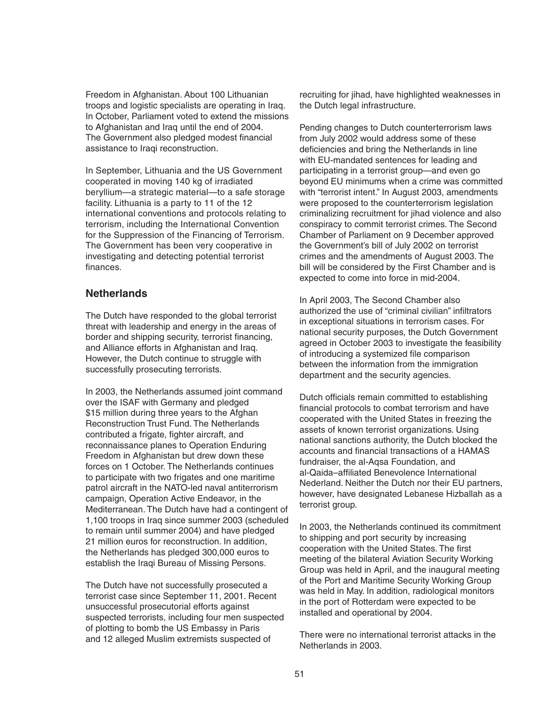Freedom in Afghanistan. About 100 Lithuanian troops and logistic specialists are operating in Iraq. In October, Parliament voted to extend the missions to Afghanistan and Iraq until the end of 2004. The Government also pledged modest financial assistance to Iraqi reconstruction.

In September, Lithuania and the US Government cooperated in moving 140 kg of irradiated beryllium—a strategic material—to a safe storage facility. Lithuania is a party to 11 of the 12 international conventions and protocols relating to terrorism, including the International Convention for the Suppression of the Financing of Terrorism. The Government has been very cooperative in investigating and detecting potential terrorist finances.

### **Netherlands**

The Dutch have responded to the global terrorist threat with leadership and energy in the areas of border and shipping security, terrorist financing, and Alliance efforts in Afghanistan and Iraq. However, the Dutch continue to struggle with successfully prosecuting terrorists.

In 2003, the Netherlands assumed joint command over the ISAF with Germany and pledged \$15 million during three years to the Afghan Reconstruction Trust Fund. The Netherlands contributed a frigate, fighter aircraft, and reconnaissance planes to Operation Enduring Freedom in Afghanistan but drew down these forces on 1 October. The Netherlands continues to participate with two frigates and one maritime patrol aircraft in the NATO-led naval antiterrorism campaign, Operation Active Endeavor, in the Mediterranean. The Dutch have had a contingent of 1,100 troops in Iraq since summer 2003 (scheduled to remain until summer 2004) and have pledged 21 million euros for reconstruction. In addition, the Netherlands has pledged 300,000 euros to establish the Iraqi Bureau of Missing Persons.

The Dutch have not successfully prosecuted a terrorist case since September 11, 2001. Recent unsuccessful prosecutorial efforts against suspected terrorists, including four men suspected of plotting to bomb the US Embassy in Paris and 12 alleged Muslim extremists suspected of

recruiting for jihad, have highlighted weaknesses in the Dutch legal infrastructure.

Pending changes to Dutch counterterrorism laws from July 2002 would address some of these deficiencies and bring the Netherlands in line with EU-mandated sentences for leading and participating in a terrorist group—and even go beyond EU minimums when a crime was committed with "terrorist intent." In August 2003, amendments were proposed to the counterterrorism legislation criminalizing recruitment for jihad violence and also conspiracy to commit terrorist crimes. The Second Chamber of Parliament on 9 December approved the Government's bill of July 2002 on terrorist crimes and the amendments of August 2003. The bill will be considered by the First Chamber and is expected to come into force in mid-2004.

In April 2003, The Second Chamber also authorized the use of "criminal civilian" infiltrators in exceptional situations in terrorism cases. For national security purposes, the Dutch Government agreed in October 2003 to investigate the feasibility of introducing a systemized file comparison between the information from the immigration department and the security agencies.

Dutch officials remain committed to establishing financial protocols to combat terrorism and have cooperated with the United States in freezing the assets of known terrorist organizations. Using national sanctions authority, the Dutch blocked the accounts and financial transactions of a HAMAS fundraiser, the al-Aqsa Foundation, and al-Qaida–affiliated Benevolence International Nederland. Neither the Dutch nor their EU partners, however, have designated Lebanese Hizballah as a terrorist group.

In 2003, the Netherlands continued its commitment to shipping and port security by increasing cooperation with the United States. The first meeting of the bilateral Aviation Security Working Group was held in April, and the inaugural meeting of the Port and Maritime Security Working Group was held in May. In addition, radiological monitors in the port of Rotterdam were expected to be installed and operational by 2004.

There were no international terrorist attacks in the Netherlands in 2003.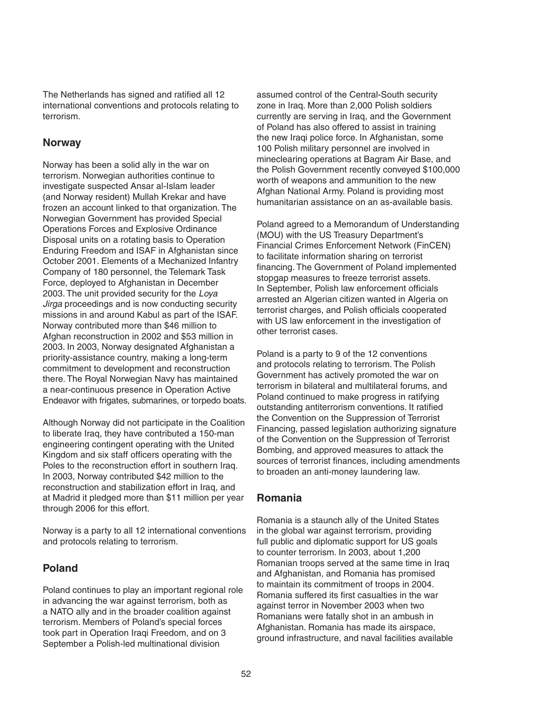The Netherlands has signed and ratified all 12 international conventions and protocols relating to terrorism.

#### **Norway**

Norway has been a solid ally in the war on terrorism. Norwegian authorities continue to investigate suspected Ansar al-Islam leader (and Norway resident) Mullah Krekar and have frozen an account linked to that organization. The Norwegian Government has provided Special Operations Forces and Explosive Ordinance Disposal units on a rotating basis to Operation Enduring Freedom and ISAF in Afghanistan since October 2001. Elements of a Mechanized Infantry Company of 180 personnel, the Telemark Task Force, deployed to Afghanistan in December 2003. The unit provided security for the Loya Jirga proceedings and is now conducting security missions in and around Kabul as part of the ISAF. Norway contributed more than \$46 million to Afghan reconstruction in 2002 and \$53 million in 2003. In 2003, Norway designated Afghanistan a priority-assistance country, making a long-term commitment to development and reconstruction there. The Royal Norwegian Navy has maintained a near-continuous presence in Operation Active Endeavor with frigates, submarines, or torpedo boats.

Although Norway did not participate in the Coalition to liberate Iraq, they have contributed a 150-man engineering contingent operating with the United Kingdom and six staff officers operating with the Poles to the reconstruction effort in southern Iraq. In 2003, Norway contributed \$42 million to the reconstruction and stabilization effort in Iraq, and at Madrid it pledged more than \$11 million per year through 2006 for this effort.

Norway is a party to all 12 international conventions and protocols relating to terrorism.

### **Poland**

Poland continues to play an important regional role in advancing the war against terrorism, both as a NATO ally and in the broader coalition against terrorism. Members of Poland's special forces took part in Operation Iraqi Freedom, and on 3 September a Polish-led multinational division

assumed control of the Central-South security zone in Iraq. More than 2,000 Polish soldiers currently are serving in Iraq, and the Government of Poland has also offered to assist in training the new Iraqi police force. In Afghanistan, some 100 Polish military personnel are involved in mineclearing operations at Bagram Air Base, and the Polish Government recently conveyed \$100,000 worth of weapons and ammunition to the new Afghan National Army. Poland is providing most humanitarian assistance on an as-available basis.

Poland agreed to a Memorandum of Understanding (MOU) with the US Treasury Department's Financial Crimes Enforcement Network (FinCEN) to facilitate information sharing on terrorist financing. The Government of Poland implemented stopgap measures to freeze terrorist assets. In September, Polish law enforcement officials arrested an Algerian citizen wanted in Algeria on terrorist charges, and Polish officials cooperated with US law enforcement in the investigation of other terrorist cases.

Poland is a party to 9 of the 12 conventions and protocols relating to terrorism. The Polish Government has actively promoted the war on terrorism in bilateral and multilateral forums, and Poland continued to make progress in ratifying outstanding antiterrorism conventions. It ratified the Convention on the Suppression of Terrorist Financing, passed legislation authorizing signature of the Convention on the Suppression of Terrorist Bombing, and approved measures to attack the sources of terrorist finances, including amendments to broaden an anti-money laundering law.

#### **Romania**

Romania is a staunch ally of the United States in the global war against terrorism, providing full public and diplomatic support for US goals to counter terrorism. In 2003, about 1,200 Romanian troops served at the same time in Iraq and Afghanistan, and Romania has promised to maintain its commitment of troops in 2004. Romania suffered its first casualties in the war against terror in November 2003 when two Romanians were fatally shot in an ambush in Afghanistan. Romania has made its airspace, ground infrastructure, and naval facilities available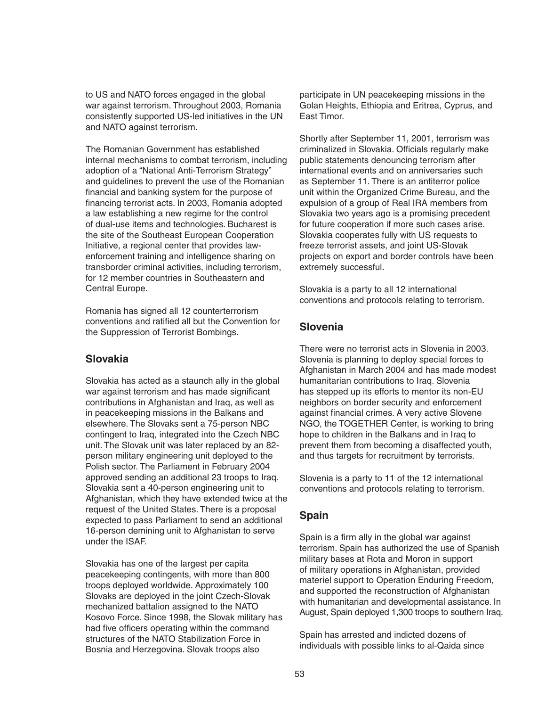to US and NATO forces engaged in the global war against terrorism. Throughout 2003, Romania consistently supported US-led initiatives in the UN and NATO against terrorism.

The Romanian Government has established internal mechanisms to combat terrorism, including adoption of a "National Anti-Terrorism Strategy" and guidelines to prevent the use of the Romanian financial and banking system for the purpose of financing terrorist acts. In 2003, Romania adopted a law establishing a new regime for the control of dual-use items and technologies. Bucharest is the site of the Southeast European Cooperation Initiative, a regional center that provides lawenforcement training and intelligence sharing on transborder criminal activities, including terrorism, for 12 member countries in Southeastern and Central Europe.

Romania has signed all 12 counterterrorism conventions and ratified all but the Convention for the Suppression of Terrorist Bombings.

### **Slovakia**

Slovakia has acted as a staunch ally in the global war against terrorism and has made significant contributions in Afghanistan and Iraq, as well as in peacekeeping missions in the Balkans and elsewhere. The Slovaks sent a 75-person NBC contingent to Iraq, integrated into the Czech NBC unit. The Slovak unit was later replaced by an 82 person military engineering unit deployed to the Polish sector. The Parliament in February 2004 approved sending an additional 23 troops to Iraq. Slovakia sent a 40-person engineering unit to Afghanistan, which they have extended twice at the request of the United States. There is a proposal expected to pass Parliament to send an additional 16-person demining unit to Afghanistan to serve under the ISAF.

Slovakia has one of the largest per capita peacekeeping contingents, with more than 800 troops deployed worldwide. Approximately 100 Slovaks are deployed in the joint Czech-Slovak mechanized battalion assigned to the NATO Kosovo Force. Since 1998, the Slovak military has had five officers operating within the command structures of the NATO Stabilization Force in Bosnia and Herzegovina. Slovak troops also

participate in UN peacekeeping missions in the Golan Heights, Ethiopia and Eritrea, Cyprus, and East Timor.

Shortly after September 11, 2001, terrorism was criminalized in Slovakia. Officials regularly make public statements denouncing terrorism after international events and on anniversaries such as September 11. There is an antiterror police unit within the Organized Crime Bureau, and the expulsion of a group of Real IRA members from Slovakia two years ago is a promising precedent for future cooperation if more such cases arise. Slovakia cooperates fully with US requests to freeze terrorist assets, and joint US-Slovak projects on export and border controls have been extremely successful.

Slovakia is a party to all 12 international conventions and protocols relating to terrorism.

## **Slovenia**

There were no terrorist acts in Slovenia in 2003. Slovenia is planning to deploy special forces to Afghanistan in March 2004 and has made modest humanitarian contributions to Iraq. Slovenia has stepped up its efforts to mentor its non-EU neighbors on border security and enforcement against financial crimes. A very active Slovene NGO, the TOGETHER Center, is working to bring hope to children in the Balkans and in Iraq to prevent them from becoming a disaffected youth, and thus targets for recruitment by terrorists.

Slovenia is a party to 11 of the 12 international conventions and protocols relating to terrorism.

# **Spain**

Spain is a firm ally in the global war against terrorism. Spain has authorized the use of Spanish military bases at Rota and Moron in support of military operations in Afghanistan, provided materiel support to Operation Enduring Freedom, and supported the reconstruction of Afghanistan with humanitarian and developmental assistance. In August, Spain deployed 1,300 troops to southern Iraq.

Spain has arrested and indicted dozens of individuals with possible links to al-Qaida since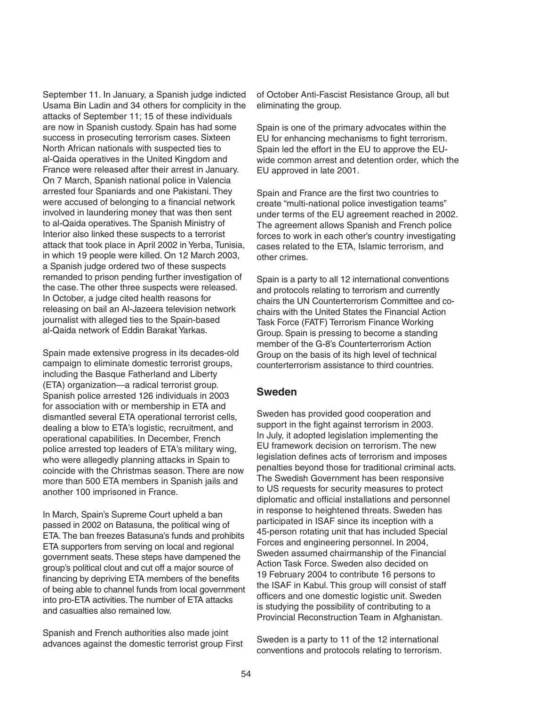September 11. In January, a Spanish judge indicted Usama Bin Ladin and 34 others for complicity in the attacks of September 11; 15 of these individuals are now in Spanish custody. Spain has had some success in prosecuting terrorism cases. Sixteen North African nationals with suspected ties to al-Qaida operatives in the United Kingdom and France were released after their arrest in January. On 7 March, Spanish national police in Valencia arrested four Spaniards and one Pakistani. They were accused of belonging to a financial network involved in laundering money that was then sent to al-Qaida operatives. The Spanish Ministry of Interior also linked these suspects to a terrorist attack that took place in April 2002 in Yerba, Tunisia, in which 19 people were killed. On 12 March 2003, a Spanish judge ordered two of these suspects remanded to prison pending further investigation of the case. The other three suspects were released. In October, a judge cited health reasons for releasing on bail an Al-Jazeera television network journalist with alleged ties to the Spain-based al-Qaida network of Eddin Barakat Yarkas.

Spain made extensive progress in its decades-old campaign to eliminate domestic terrorist groups, including the Basque Fatherland and Liberty (ETA) organization—a radical terrorist group. Spanish police arrested 126 individuals in 2003 for association with or membership in ETA and dismantled several ETA operational terrorist cells, dealing a blow to ETA's logistic, recruitment, and operational capabilities. In December, French police arrested top leaders of ETA's military wing, who were allegedly planning attacks in Spain to coincide with the Christmas season. There are now more than 500 ETA members in Spanish jails and another 100 imprisoned in France.

In March, Spain's Supreme Court upheld a ban passed in 2002 on Batasuna, the political wing of ETA. The ban freezes Batasuna's funds and prohibits ETA supporters from serving on local and regional government seats. These steps have dampened the group's political clout and cut off a major source of financing by depriving ETA members of the benefits of being able to channel funds from local government into pro-ETA activities. The number of ETA attacks and casualties also remained low.

Spanish and French authorities also made joint advances against the domestic terrorist group First of October Anti-Fascist Resistance Group, all but eliminating the group.

Spain is one of the primary advocates within the EU for enhancing mechanisms to fight terrorism. Spain led the effort in the EU to approve the EUwide common arrest and detention order, which the EU approved in late 2001.

Spain and France are the first two countries to create "multi-national police investigation teams" under terms of the EU agreement reached in 2002. The agreement allows Spanish and French police forces to work in each other's country investigating cases related to the ETA, Islamic terrorism, and other crimes.

Spain is a party to all 12 international conventions and protocols relating to terrorism and currently chairs the UN Counterterrorism Committee and cochairs with the United States the Financial Action Task Force (FATF) Terrorism Finance Working Group. Spain is pressing to become a standing member of the G-8's Counterterrorism Action Group on the basis of its high level of technical counterterrorism assistance to third countries.

#### **Sweden**

Sweden has provided good cooperation and support in the fight against terrorism in 2003. In July, it adopted legislation implementing the EU framework decision on terrorism. The new legislation defines acts of terrorism and imposes penalties beyond those for traditional criminal acts. The Swedish Government has been responsive to US requests for security measures to protect diplomatic and official installations and personnel in response to heightened threats. Sweden has participated in ISAF since its inception with a 45-person rotating unit that has included Special Forces and engineering personnel. In 2004, Sweden assumed chairmanship of the Financial Action Task Force. Sweden also decided on 19 February 2004 to contribute 16 persons to the ISAF in Kabul. This group will consist of staff officers and one domestic logistic unit. Sweden is studying the possibility of contributing to a Provincial Reconstruction Team in Afghanistan.

Sweden is a party to 11 of the 12 international conventions and protocols relating to terrorism.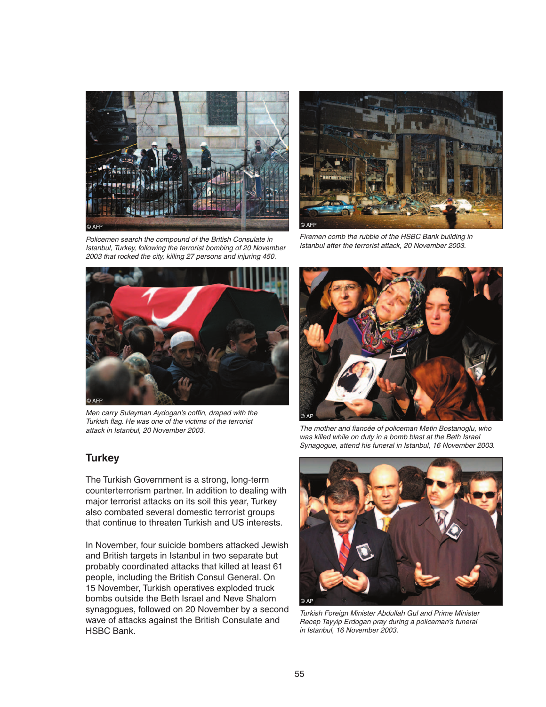

© AFP

Policemen search the compound of the British Consulate in Istanbul, Turkey, following the terrorist bombing of 20 November 2003 that rocked the city, killing 27 persons and injuring 450.

Firemen comb the rubble of the HSBC Bank building in Istanbul after the terrorist attack, 20 November 2003.



Men carry Suleyman Aydogan's coffin, draped with the Turkish flag. He was one of the victims of the terrorist attack in Istanbul, 20 November 2003.



The mother and fiancée of policeman Metin Bostanoglu, who was killed while on duty in a bomb blast at the Beth Israel Synagogue, attend his funeral in Istanbul, 16 November 2003.

# **Turkey**

The Turkish Government is a strong, long-term counterterrorism partner. In addition to dealing with major terrorist attacks on its soil this year, Turkey also combated several domestic terrorist groups that continue to threaten Turkish and US interests.

In November, four suicide bombers attacked Jewish and British targets in Istanbul in two separate but probably coordinated attacks that killed at least 61 people, including the British Consul General. On 15 November, Turkish operatives exploded truck bombs outside the Beth Israel and Neve Shalom synagogues, followed on 20 November by a second wave of attacks against the British Consulate and HSBC Bank.



Turkish Foreign Minister Abdullah Gul and Prime Minister Recep Tayyip Erdogan pray during a policeman's funeral in Istanbul, 16 November 2003.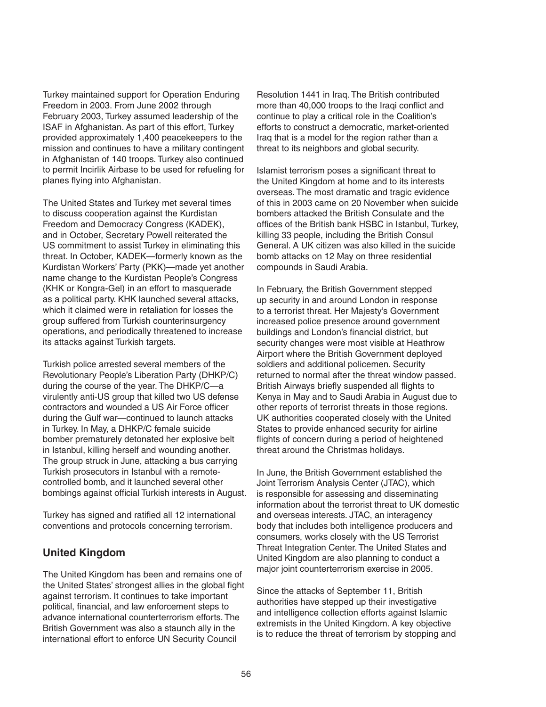Turkey maintained support for Operation Enduring Freedom in 2003. From June 2002 through February 2003, Turkey assumed leadership of the ISAF in Afghanistan. As part of this effort, Turkey provided approximately 1,400 peacekeepers to the mission and continues to have a military contingent in Afghanistan of 140 troops. Turkey also continued to permit Incirlik Airbase to be used for refueling for planes flying into Afghanistan.

The United States and Turkey met several times to discuss cooperation against the Kurdistan Freedom and Democracy Congress (KADEK), and in October, Secretary Powell reiterated the US commitment to assist Turkey in eliminating this threat. In October, KADEK—formerly known as the Kurdistan Workers' Party (PKK)—made yet another name change to the Kurdistan People's Congress (KHK or Kongra-Gel) in an effort to masquerade as a political party. KHK launched several attacks, which it claimed were in retaliation for losses the group suffered from Turkish counterinsurgency operations, and periodically threatened to increase its attacks against Turkish targets.

Turkish police arrested several members of the Revolutionary People's Liberation Party (DHKP/C) during the course of the year. The DHKP/C—a virulently anti-US group that killed two US defense contractors and wounded a US Air Force officer during the Gulf war—continued to launch attacks in Turkey. In May, a DHKP/C female suicide bomber prematurely detonated her explosive belt in Istanbul, killing herself and wounding another. The group struck in June, attacking a bus carrying Turkish prosecutors in Istanbul with a remotecontrolled bomb, and it launched several other bombings against official Turkish interests in August.

Turkey has signed and ratified all 12 international conventions and protocols concerning terrorism.

### **United Kingdom**

The United Kingdom has been and remains one of the United States' strongest allies in the global fight against terrorism. It continues to take important political, financial, and law enforcement steps to advance international counterterrorism efforts. The British Government was also a staunch ally in the international effort to enforce UN Security Council

Resolution 1441 in Iraq. The British contributed more than 40,000 troops to the Iraqi conflict and continue to play a critical role in the Coalition's efforts to construct a democratic, market-oriented Iraq that is a model for the region rather than a threat to its neighbors and global security.

Islamist terrorism poses a significant threat to the United Kingdom at home and to its interests overseas. The most dramatic and tragic evidence of this in 2003 came on 20 November when suicide bombers attacked the British Consulate and the offices of the British bank HSBC in Istanbul, Turkey, killing 33 people, including the British Consul General. A UK citizen was also killed in the suicide bomb attacks on 12 May on three residential compounds in Saudi Arabia.

In February, the British Government stepped up security in and around London in response to a terrorist threat. Her Majesty's Government increased police presence around government buildings and London's financial district, but security changes were most visible at Heathrow Airport where the British Government deployed soldiers and additional policemen. Security returned to normal after the threat window passed. British Airways briefly suspended all flights to Kenya in May and to Saudi Arabia in August due to other reports of terrorist threats in those regions. UK authorities cooperated closely with the United States to provide enhanced security for airline flights of concern during a period of heightened threat around the Christmas holidays.

In June, the British Government established the Joint Terrorism Analysis Center (JTAC), which is responsible for assessing and disseminating information about the terrorist threat to UK domestic and overseas interests. JTAC, an interagency body that includes both intelligence producers and consumers, works closely with the US Terrorist Threat Integration Center. The United States and United Kingdom are also planning to conduct a major joint counterterrorism exercise in 2005.

Since the attacks of September 11, British authorities have stepped up their investigative and intelligence collection efforts against Islamic extremists in the United Kingdom. A key objective is to reduce the threat of terrorism by stopping and